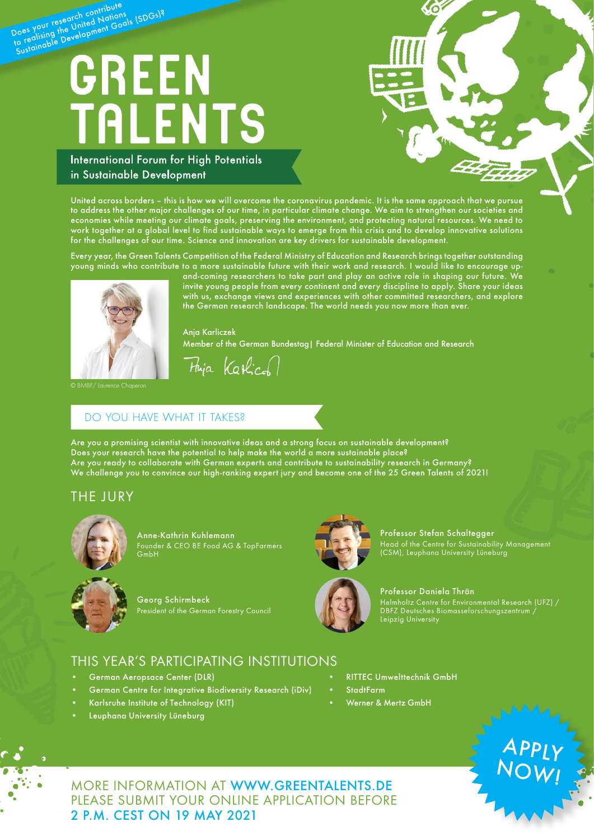# Does your research contribute boes your research continuations<br>Does your research United Nations<br>to reglising the United Nationals (SDGs)? **TALENTS**

**International Forum for High Potentials** in Sustainable Development

United across borders – this is how we will overcome the coronavirus pandemic. It is the same approach that we pursue to address the other major challenges of our time, in particular climate change. We aim to strengthen our societies and economies while meeting our climate goals, preserving the environment, and protecting natural resources. We need to work together at a global level to find sustainable ways to emerge from this crisis and to develop innovative solutions for the challenges of our time. Science and innovation are key drivers for sustainable development.

Every year, the Green Talents Competition of the Federal Ministry of Education and Research brings together outstanding young minds who contribute to a more sustainable future with their work and research. I would like to encourage up-



and-coming researchers to take part and play an active role in shaping our future. We invite young people from every continent and every discipline to apply. Share your ideas with us, exchange views and experiences with other committed researchers, and explore the German research landscape. The world needs you now more than ever.

Anja Karliczek Member of the German Bundestag| Federal Minister of Education and Research

Fhija Katical

## DO YOU HAVE WHAT IT TAKES?

Are you a promising scientist with innovative ideas and a strong focus on sustainable development? Does your research have the potential to help make the world a more sustainable place? Are you ready to collaborate with German experts and contribute to sustainability research in Germany? We challenge you to convince our high-ranking expert jury and become one of the 25 Green Talents of 2021!

# THE JURY



Anne-Kathrin Kuhlemann Founder & CEO BE Food AG & TopFarmers GmbH



President of the German Forestry Council

Georg Schirmbeck



Professor Stefan Schaltegger Head of the Centre for Sustainability Management (CSM), Leuphana University Lüneburg



Professor Daniela Thrän Helmholtz Centre for Environmental Research (UFZ) / DBFZ Deutsches Biomasseforschungszentrum /

# THIS YEAR'S PARTICIPATING INSTITUTIONS

- German Aeropsace Center (DLR)
- German Centre for Integrative Biodiversity Research (iDiv)
- Karlsruhe Institute of Technology (KIT)
- Leuphana University Lüneburg

• RITTEC Umwelttechnik GmbH

Leipzig University

- **StadtFarm**
- Werner & Mertz GmbH



MORE INFORMATION AT [WWW.GREENTALENTS.DE](https://www.greentalents.de/index.php) PLEASE SUBMIT YOUR ONLINE APPLICATION BEFORE 2 P.M. CEST ON 19 MAY 2021